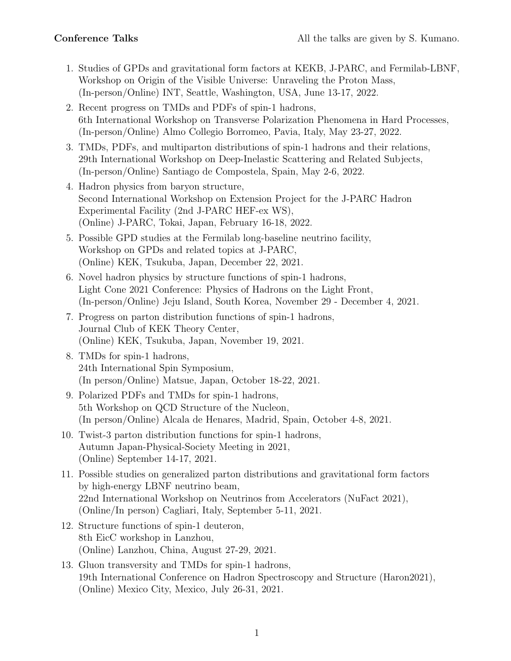- 1. Studies of GPDs and gravitational form factors at KEKB, J-PARC, and Fermilab-LBNF, Workshop on Origin of the Visible Universe: Unraveling the Proton Mass, (In-person/Online) INT, Seattle, Washington, USA, June 13-17, 2022.
- 2. Recent progress on TMDs and PDFs of spin-1 hadrons, 6th International Workshop on Transverse Polarization Phenomena in Hard Processes, (In-person/Online) Almo Collegio Borromeo, Pavia, Italy, May 23-27, 2022.
- 3. TMDs, PDFs, and multiparton distributions of spin-1 hadrons and their relations, 29th International Workshop on Deep-Inelastic Scattering and Related Subjects, (In-person/Online) Santiago de Compostela, Spain, May 2-6, 2022.
- 4. Hadron physics from baryon structure, Second International Workshop on Extension Project for the J-PARC Hadron Experimental Facility (2nd J-PARC HEF-ex WS), (Online) J-PARC, Tokai, Japan, February 16-18, 2022.
- 5. Possible GPD studies at the Fermilab long-baseline neutrino facility, Workshop on GPDs and related topics at J-PARC, (Online) KEK, Tsukuba, Japan, December 22, 2021.
- 6. Novel hadron physics by structure functions of spin-1 hadrons, Light Cone 2021 Conference: Physics of Hadrons on the Light Front, (In-person/Online) Jeju Island, South Korea, November 29 - December 4, 2021.
- 7. Progress on parton distribution functions of spin-1 hadrons, Journal Club of KEK Theory Center, (Online) KEK, Tsukuba, Japan, November 19, 2021.
- 8. TMDs for spin-1 hadrons, 24th International Spin Symposium, (In person/Online) Matsue, Japan, October 18-22, 2021.
- 9. Polarized PDFs and TMDs for spin-1 hadrons, 5th Workshop on QCD Structure of the Nucleon, (In person/Online) Alcala de Henares, Madrid, Spain, October 4-8, 2021.
- 10. Twist-3 parton distribution functions for spin-1 hadrons, Autumn Japan-Physical-Society Meeting in 2021, (Online) September 14-17, 2021.
- 11. Possible studies on generalized parton distributions and gravitational form factors by high-energy LBNF neutrino beam, 22nd International Workshop on Neutrinos from Accelerators (NuFact 2021), (Online/In person) Cagliari, Italy, September 5-11, 2021.
- 12. Structure functions of spin-1 deuteron, 8th EicC workshop in Lanzhou, (Online) Lanzhou, China, August 27-29, 2021.
- 13. Gluon transversity and TMDs for spin-1 hadrons, 19th International Conference on Hadron Spectroscopy and Structure (Haron2021), (Online) Mexico City, Mexico, July 26-31, 2021.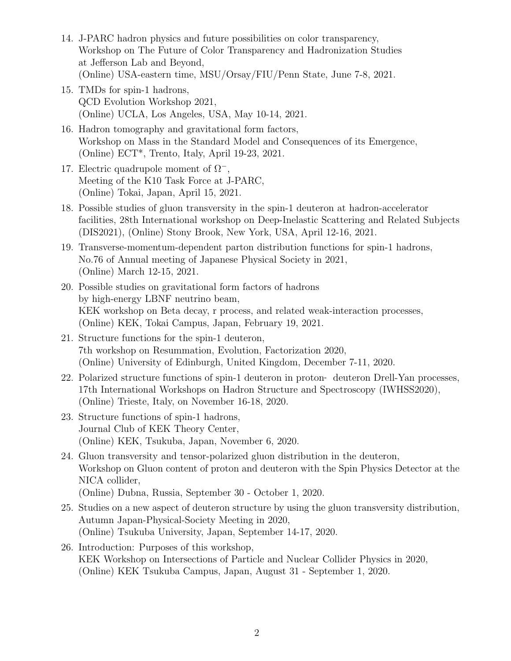- 14. J-PARC hadron physics and future possibilities on color transparency, Workshop on The Future of Color Transparency and Hadronization Studies at Jefferson Lab and Beyond, (Online) USA-eastern time, MSU/Orsay/FIU/Penn State, June 7-8, 2021.
- 15. TMDs for spin-1 hadrons, QCD Evolution Workshop 2021, (Online) UCLA, Los Angeles, USA, May 10-14, 2021.
- 16. Hadron tomography and gravitational form factors, Workshop on Mass in the Standard Model and Consequences of its Emergence, (Online) ECT\*, Trento, Italy, April 19-23, 2021.
- 17. Electric quadrupole moment of Ω*−*, Meeting of the K10 Task Force at J-PARC, (Online) Tokai, Japan, April 15, 2021.
- 18. Possible studies of gluon transversity in the spin-1 deuteron at hadron-accelerator facilities, 28th International workshop on Deep-Inelastic Scattering and Related Subjects (DIS2021), (Online) Stony Brook, New York, USA, April 12-16, 2021.
- 19. Transverse-momentum-dependent parton distribution functions for spin-1 hadrons, No.76 of Annual meeting of Japanese Physical Society in 2021, (Online) March 12-15, 2021.
- 20. Possible studies on gravitational form factors of hadrons by high-energy LBNF neutrino beam, KEK workshop on Beta decay, r process, and related weak-interaction processes, (Online) KEK, Tokai Campus, Japan, February 19, 2021.
- 21. Structure functions for the spin-1 deuteron, 7th workshop on Resummation, Evolution, Factorization 2020, (Online) University of Edinburgh, United Kingdom, December 7-11, 2020.
- 22. Polarized structure functions of spin-1 deuteron in proton‐ deuteron Drell-Yan processes, 17th International Workshops on Hadron Structure and Spectroscopy (IWHSS2020), (Online) Trieste, Italy, on November 16-18, 2020.
- 23. Structure functions of spin-1 hadrons, Journal Club of KEK Theory Center, (Online) KEK, Tsukuba, Japan, November 6, 2020.
- 24. Gluon transversity and tensor-polarized gluon distribution in the deuteron, Workshop on Gluon content of proton and deuteron with the Spin Physics Detector at the NICA collider,
	- (Online) Dubna, Russia, September 30 October 1, 2020.
- 25. Studies on a new aspect of deuteron structure by using the gluon transversity distribution, Autumn Japan-Physical-Society Meeting in 2020, (Online) Tsukuba University, Japan, September 14-17, 2020.
- 26. Introduction: Purposes of this workshop, KEK Workshop on Intersections of Particle and Nuclear Collider Physics in 2020, (Online) KEK Tsukuba Campus, Japan, August 31 - September 1, 2020.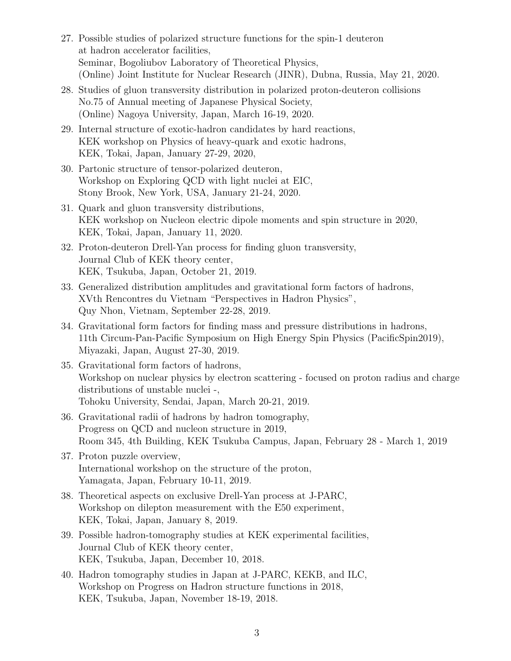- 27. Possible studies of polarized structure functions for the spin-1 deuteron at hadron accelerator facilities, Seminar, Bogoliubov Laboratory of Theoretical Physics, (Online) Joint Institute for Nuclear Research (JINR), Dubna, Russia, May 21, 2020.
- 28. Studies of gluon transversity distribution in polarized proton-deuteron collisions No.75 of Annual meeting of Japanese Physical Society, (Online) Nagoya University, Japan, March 16-19, 2020.
- 29. Internal structure of exotic-hadron candidates by hard reactions, KEK workshop on Physics of heavy-quark and exotic hadrons, KEK, Tokai, Japan, January 27-29, 2020,
- 30. Partonic structure of tensor-polarized deuteron, Workshop on Exploring QCD with light nuclei at EIC, Stony Brook, New York, USA, January 21-24, 2020.
- 31. Quark and gluon transversity distributions, KEK workshop on Nucleon electric dipole moments and spin structure in 2020, KEK, Tokai, Japan, January 11, 2020.
- 32. Proton-deuteron Drell-Yan process for finding gluon transversity, Journal Club of KEK theory center, KEK, Tsukuba, Japan, October 21, 2019.
- 33. Generalized distribution amplitudes and gravitational form factors of hadrons, XVth Rencontres du Vietnam "Perspectives in Hadron Physics", Quy Nhon, Vietnam, September 22-28, 2019.
- 34. Gravitational form factors for finding mass and pressure distributions in hadrons, 11th Circum-Pan-Pacific Symposium on High Energy Spin Physics (PacificSpin2019), Miyazaki, Japan, August 27-30, 2019.
- 35. Gravitational form factors of hadrons, Workshop on nuclear physics by electron scattering - focused on proton radius and charge distributions of unstable nuclei -, Tohoku University, Sendai, Japan, March 20-21, 2019.
- 36. Gravitational radii of hadrons by hadron tomography, Progress on QCD and nucleon structure in 2019, Room 345, 4th Building, KEK Tsukuba Campus, Japan, February 28 - March 1, 2019
- 37. Proton puzzle overview, International workshop on the structure of the proton, Yamagata, Japan, February 10-11, 2019.
- 38. Theoretical aspects on exclusive Drell-Yan process at J-PARC, Workshop on dilepton measurement with the E50 experiment, KEK, Tokai, Japan, January 8, 2019.
- 39. Possible hadron-tomography studies at KEK experimental facilities, Journal Club of KEK theory center, KEK, Tsukuba, Japan, December 10, 2018.
- 40. Hadron tomography studies in Japan at J-PARC, KEKB, and ILC, Workshop on Progress on Hadron structure functions in 2018, KEK, Tsukuba, Japan, November 18-19, 2018.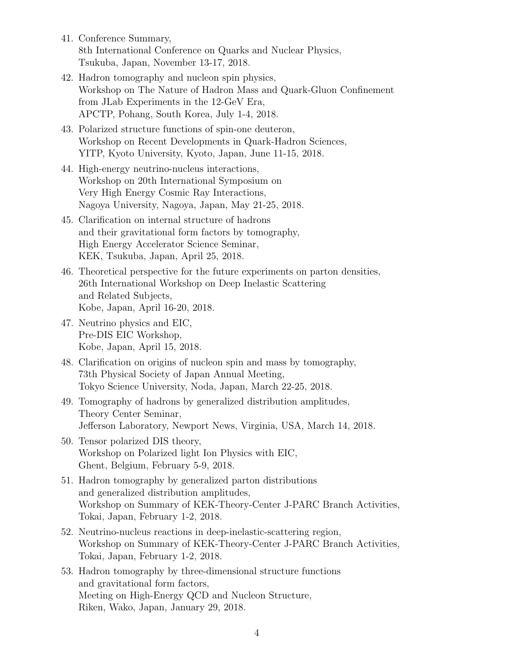- 41. Conference Summary, 8th International Conference on Quarks and Nuclear Physics, Tsukuba, Japan, November 13-17, 2018.
- 42. Hadron tomography and nucleon spin physics, Workshop on The Nature of Hadron Mass and Quark-Gluon Confinement from JLab Experiments in the 12-GeV Era, APCTP, Pohang, South Korea, July 1-4, 2018.
- 43. Polarized structure functions of spin-one deuteron, Workshop on Recent Developments in Quark-Hadron Sciences, YITP, Kyoto University, Kyoto, Japan, June 11-15, 2018.
- 44. High-energy neutrino-nucleus interactions, Workshop on 20th International Symposium on Very High Energy Cosmic Ray Interactions, Nagoya University, Nagoya, Japan, May 21-25, 2018.
- 45. Clarification on internal structure of hadrons and their gravitational form factors by tomography, High Energy Accelerator Science Seminar, KEK, Tsukuba, Japan, April 25, 2018.
- 46. Theoretical perspective for the future experiments on parton densities, 26th International Workshop on Deep Inelastic Scattering and Related Subjects, Kobe, Japan, April 16-20, 2018.
- 47. Neutrino physics and EIC, Pre-DIS EIC Workshop, Kobe, Japan, April 15, 2018.
- 48. Clarification on origins of nucleon spin and mass by tomography, 73th Physical Society of Japan Annual Meeting, Tokyo Science University, Noda, Japan, March 22-25, 2018.
- 49. Tomography of hadrons by generalized distribution amplitudes, Theory Center Seminar, Jefferson Laboratory, Newport News, Virginia, USA, March 14, 2018.
- 50. Tensor polarized DIS theory, Workshop on Polarized light Ion Physics with EIC, Ghent, Belgium, February 5-9, 2018.
- 51. Hadron tomography by generalized parton distributions and generalized distribution amplitudes, Workshop on Summary of KEK-Theory-Center J-PARC Branch Activities, Tokai, Japan, February 1-2, 2018.
- 52. Neutrino-nucleus reactions in deep-inelastic-scattering region, Workshop on Summary of KEK-Theory-Center J-PARC Branch Activities, Tokai, Japan, February 1-2, 2018.
- 53. Hadron tomography by three-dimensional structure functions and gravitational form factors, Meeting on High-Energy QCD and Nucleon Structure, Riken, Wako, Japan, January 29, 2018.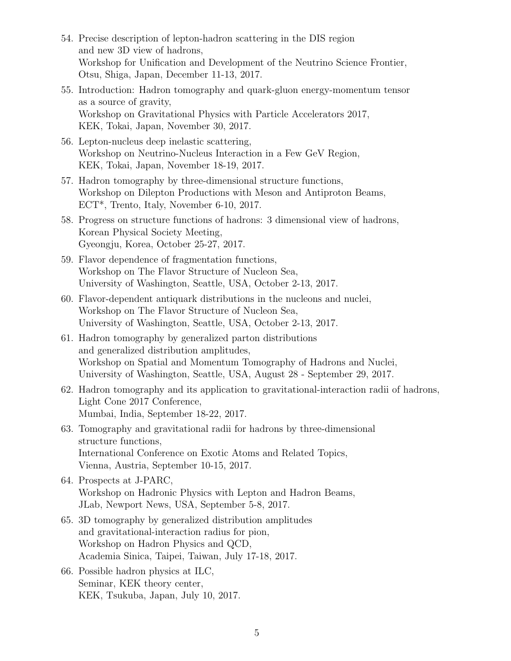- 54. Precise description of lepton-hadron scattering in the DIS region and new 3D view of hadrons, Workshop for Unification and Development of the Neutrino Science Frontier, Otsu, Shiga, Japan, December 11-13, 2017.
- 55. Introduction: Hadron tomography and quark-gluon energy-momentum tensor as a source of gravity, Workshop on Gravitational Physics with Particle Accelerators 2017, KEK, Tokai, Japan, November 30, 2017.
- 56. Lepton-nucleus deep inelastic scattering, Workshop on Neutrino-Nucleus Interaction in a Few GeV Region, KEK, Tokai, Japan, November 18-19, 2017.
- 57. Hadron tomography by three-dimensional structure functions, Workshop on Dilepton Productions with Meson and Antiproton Beams, ECT\*, Trento, Italy, November 6-10, 2017.
- 58. Progress on structure functions of hadrons: 3 dimensional view of hadrons, Korean Physical Society Meeting, Gyeongju, Korea, October 25-27, 2017.
- 59. Flavor dependence of fragmentation functions, Workshop on The Flavor Structure of Nucleon Sea, University of Washington, Seattle, USA, October 2-13, 2017.
- 60. Flavor-dependent antiquark distributions in the nucleons and nuclei, Workshop on The Flavor Structure of Nucleon Sea, University of Washington, Seattle, USA, October 2-13, 2017.
- 61. Hadron tomography by generalized parton distributions and generalized distribution amplitudes, Workshop on Spatial and Momentum Tomography of Hadrons and Nuclei, University of Washington, Seattle, USA, August 28 - September 29, 2017.
- 62. Hadron tomography and its application to gravitational-interaction radii of hadrons, Light Cone 2017 Conference, Mumbai, India, September 18-22, 2017.
- 63. Tomography and gravitational radii for hadrons by three-dimensional structure functions, International Conference on Exotic Atoms and Related Topics, Vienna, Austria, September 10-15, 2017.
- 64. Prospects at J-PARC, Workshop on Hadronic Physics with Lepton and Hadron Beams, JLab, Newport News, USA, September 5-8, 2017.
- 65. 3D tomography by generalized distribution amplitudes and gravitational-interaction radius for pion, Workshop on Hadron Physics and QCD, Academia Sinica, Taipei, Taiwan, July 17-18, 2017.
- 66. Possible hadron physics at ILC, Seminar, KEK theory center, KEK, Tsukuba, Japan, July 10, 2017.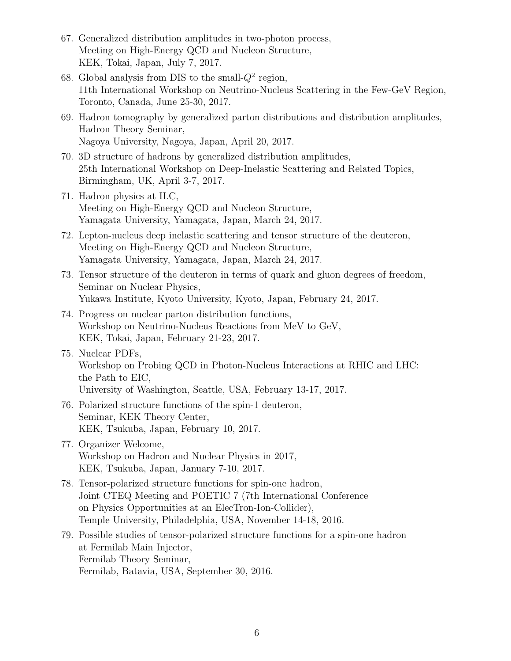- 67. Generalized distribution amplitudes in two-photon process, Meeting on High-Energy QCD and Nucleon Structure, KEK, Tokai, Japan, July 7, 2017.
- 68. Global analysis from DIS to the small- $Q^2$  region, 11th International Workshop on Neutrino-Nucleus Scattering in the Few-GeV Region, Toronto, Canada, June 25-30, 2017.
- 69. Hadron tomography by generalized parton distributions and distribution amplitudes, Hadron Theory Seminar, Nagoya University, Nagoya, Japan, April 20, 2017.
- 70. 3D structure of hadrons by generalized distribution amplitudes, 25th International Workshop on Deep-Inelastic Scattering and Related Topics, Birmingham, UK, April 3-7, 2017.
- 71. Hadron physics at ILC, Meeting on High-Energy QCD and Nucleon Structure, Yamagata University, Yamagata, Japan, March 24, 2017.
- 72. Lepton-nucleus deep inelastic scattering and tensor structure of the deuteron, Meeting on High-Energy QCD and Nucleon Structure, Yamagata University, Yamagata, Japan, March 24, 2017.
- 73. Tensor structure of the deuteron in terms of quark and gluon degrees of freedom, Seminar on Nuclear Physics, Yukawa Institute, Kyoto University, Kyoto, Japan, February 24, 2017.
- 74. Progress on nuclear parton distribution functions, Workshop on Neutrino-Nucleus Reactions from MeV to GeV, KEK, Tokai, Japan, February 21-23, 2017.
- 75. Nuclear PDFs, Workshop on Probing QCD in Photon-Nucleus Interactions at RHIC and LHC: the Path to EIC, University of Washington, Seattle, USA, February 13-17, 2017.
- 76. Polarized structure functions of the spin-1 deuteron, Seminar, KEK Theory Center, KEK, Tsukuba, Japan, February 10, 2017.
- 77. Organizer Welcome, Workshop on Hadron and Nuclear Physics in 2017, KEK, Tsukuba, Japan, January 7-10, 2017.
- 78. Tensor-polarized structure functions for spin-one hadron, Joint CTEQ Meeting and POETIC 7 (7th International Conference on Physics Opportunities at an ElecTron-Ion-Collider), Temple University, Philadelphia, USA, November 14-18, 2016.
- 79. Possible studies of tensor-polarized structure functions for a spin-one hadron at Fermilab Main Injector, Fermilab Theory Seminar, Fermilab, Batavia, USA, September 30, 2016.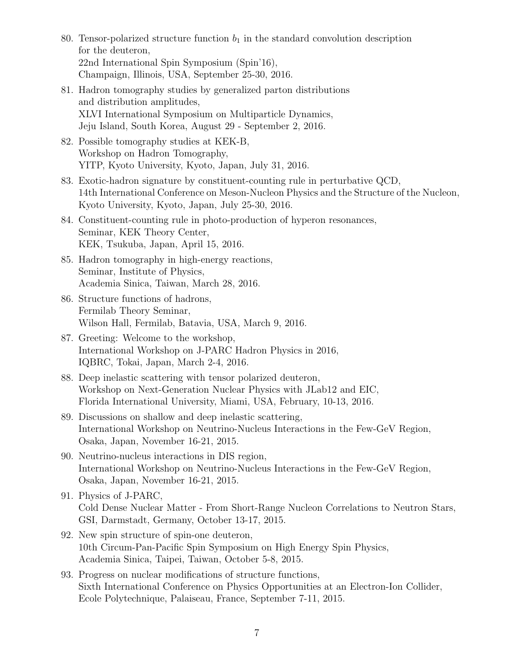- 80. Tensor-polarized structure function  $b_1$  in the standard convolution description for the deuteron, 22nd International Spin Symposium (Spin'16), Champaign, Illinois, USA, September 25-30, 2016.
- 81. Hadron tomography studies by generalized parton distributions and distribution amplitudes, XLVI International Symposium on Multiparticle Dynamics, Jeju Island, South Korea, August 29 - September 2, 2016.
- 82. Possible tomography studies at KEK-B, Workshop on Hadron Tomography, YITP, Kyoto University, Kyoto, Japan, July 31, 2016.
- 83. Exotic-hadron signature by constituent-counting rule in perturbative QCD, 14th International Conference on Meson-Nucleon Physics and the Structure of the Nucleon, Kyoto University, Kyoto, Japan, July 25-30, 2016.
- 84. Constituent-counting rule in photo-production of hyperon resonances, Seminar, KEK Theory Center, KEK, Tsukuba, Japan, April 15, 2016.
- 85. Hadron tomography in high-energy reactions, Seminar, Institute of Physics, Academia Sinica, Taiwan, March 28, 2016.
- 86. Structure functions of hadrons, Fermilab Theory Seminar, Wilson Hall, Fermilab, Batavia, USA, March 9, 2016.
- 87. Greeting: Welcome to the workshop, International Workshop on J-PARC Hadron Physics in 2016, IQBRC, Tokai, Japan, March 2-4, 2016.
- 88. Deep inelastic scattering with tensor polarized deuteron, Workshop on Next-Generation Nuclear Physics with JLab12 and EIC, Florida International University, Miami, USA, February, 10-13, 2016.
- 89. Discussions on shallow and deep inelastic scattering, International Workshop on Neutrino-Nucleus Interactions in the Few-GeV Region, Osaka, Japan, November 16-21, 2015.
- 90. Neutrino-nucleus interactions in DIS region, International Workshop on Neutrino-Nucleus Interactions in the Few-GeV Region, Osaka, Japan, November 16-21, 2015.
- 91. Physics of J-PARC, Cold Dense Nuclear Matter - From Short-Range Nucleon Correlations to Neutron Stars, GSI, Darmstadt, Germany, October 13-17, 2015.
- 92. New spin structure of spin-one deuteron, 10th Circum-Pan-Pacific Spin Symposium on High Energy Spin Physics, Academia Sinica, Taipei, Taiwan, October 5-8, 2015.
- 93. Progress on nuclear modifications of structure functions, Sixth International Conference on Physics Opportunities at an Electron-Ion Collider, Ecole Polytechnique, Palaiseau, France, September 7-11, 2015.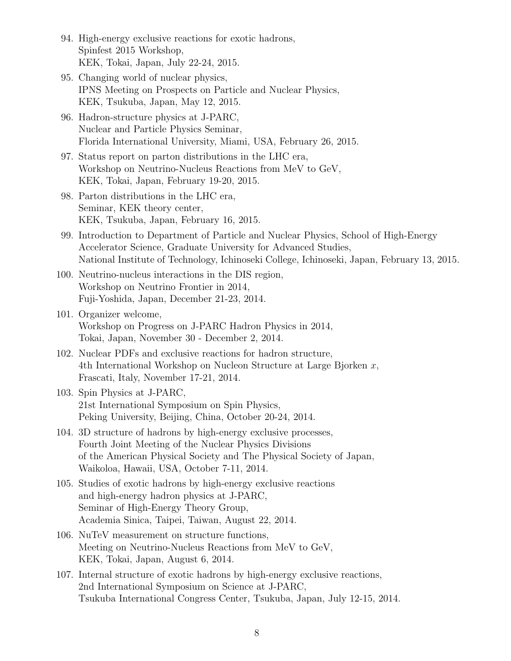- 94. High-energy exclusive reactions for exotic hadrons, Spinfest 2015 Workshop, KEK, Tokai, Japan, July 22-24, 2015.
- 95. Changing world of nuclear physics, IPNS Meeting on Prospects on Particle and Nuclear Physics, KEK, Tsukuba, Japan, May 12, 2015.
- 96. Hadron-structure physics at J-PARC, Nuclear and Particle Physics Seminar, Florida International University, Miami, USA, February 26, 2015.
- 97. Status report on parton distributions in the LHC era, Workshop on Neutrino-Nucleus Reactions from MeV to GeV, KEK, Tokai, Japan, February 19-20, 2015.
- 98. Parton distributions in the LHC era, Seminar, KEK theory center, KEK, Tsukuba, Japan, February 16, 2015.
- 99. Introduction to Department of Particle and Nuclear Physics, School of High-Energy Accelerator Science, Graduate University for Advanced Studies, National Institute of Technology, Ichinoseki College, Ichinoseki, Japan, February 13, 2015.
- 100. Neutrino-nucleus interactions in the DIS region, Workshop on Neutrino Frontier in 2014, Fuji-Yoshida, Japan, December 21-23, 2014.
- 101. Organizer welcome, Workshop on Progress on J-PARC Hadron Physics in 2014, Tokai, Japan, November 30 - December 2, 2014.
- 102. Nuclear PDFs and exclusive reactions for hadron structure, 4th International Workshop on Nucleon Structure at Large Bjorken *x*, Frascati, Italy, November 17-21, 2014.
- 103. Spin Physics at J-PARC, 21st International Symposium on Spin Physics, Peking University, Beijing, China, October 20-24, 2014.
- 104. 3D structure of hadrons by high-energy exclusive processes, Fourth Joint Meeting of the Nuclear Physics Divisions of the American Physical Society and The Physical Society of Japan, Waikoloa, Hawaii, USA, October 7-11, 2014.
- 105. Studies of exotic hadrons by high-energy exclusive reactions and high-energy hadron physics at J-PARC, Seminar of High-Energy Theory Group, Academia Sinica, Taipei, Taiwan, August 22, 2014.
- 106. NuTeV measurement on structure functions, Meeting on Neutrino-Nucleus Reactions from MeV to GeV, KEK, Tokai, Japan, August 6, 2014.
- 107. Internal structure of exotic hadrons by high-energy exclusive reactions, 2nd International Symposium on Science at J-PARC, Tsukuba International Congress Center, Tsukuba, Japan, July 12-15, 2014.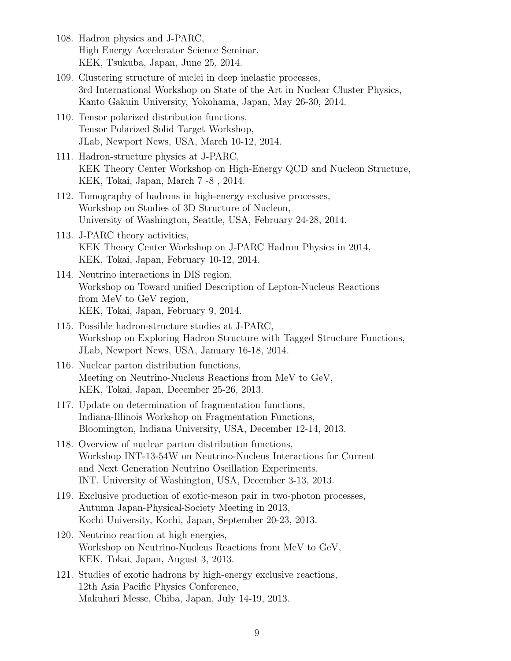- 108. Hadron physics and J-PARC, High Energy Accelerator Science Seminar, KEK, Tsukuba, Japan, June 25, 2014.
- 109. Clustering structure of nuclei in deep inelastic processes, 3rd International Workshop on State of the Art in Nuclear Cluster Physics, Kanto Gakuin University, Yokohama, Japan, May 26-30, 2014.
- 110. Tensor polarized distribution functions, Tensor Polarized Solid Target Workshop, JLab, Newport News, USA, March 10-12, 2014.
- 111. Hadron-structure physics at J-PARC, KEK Theory Center Workshop on High-Energy QCD and Nucleon Structure, KEK, Tokai, Japan, March 7 -8 , 2014.
- 112. Tomography of hadrons in high-energy exclusive processes, Workshop on Studies of 3D Structure of Nucleon, University of Washington, Seattle, USA, February 24-28, 2014.
- 113. J-PARC theory activities, KEK Theory Center Workshop on J-PARC Hadron Physics in 2014, KEK, Tokai, Japan, February 10-12, 2014.
- 114. Neutrino interactions in DIS region, Workshop on Toward unified Description of Lepton-Nucleus Reactions from MeV to GeV region, KEK, Tokai, Japan, February 9, 2014.
- 115. Possible hadron-structure studies at J-PARC, Workshop on Exploring Hadron Structure with Tagged Structure Functions, JLab, Newport News, USA, January 16-18, 2014.
- 116. Nuclear parton distribution functions, Meeting on Neutrino-Nucleus Reactions from MeV to GeV, KEK, Tokai, Japan, December 25-26, 2013.
- 117. Update on determination of fragmentation functions, Indiana-Illinois Workshop on Fragmentation Functions, Bloomington, Indiana University, USA, December 12-14, 2013.
- 118. Overview of nuclear parton distribution functions, Workshop INT-13-54W on Neutrino-Nucleus Interactions for Current and Next Generation Neutrino Oscillation Experiments, INT, University of Washington, USA, December 3-13, 2013.
- 119. Exclusive production of exotic-meson pair in two-photon processes, Autumn Japan-Physical-Society Meeting in 2013, Kochi University, Kochi, Japan, September 20-23, 2013.
- 120. Neutrino reaction at high energies, Workshop on Neutrino-Nucleus Reactions from MeV to GeV, KEK, Tokai, Japan, August 3, 2013.
- 121. Studies of exotic hadrons by high-energy exclusive reactions, 12th Asia Pacific Physics Conference, Makuhari Messe, Chiba, Japan, July 14-19, 2013.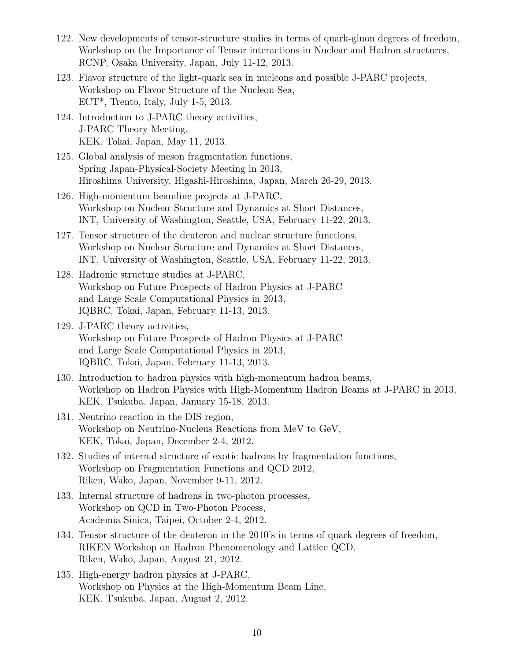- 122. New developments of tensor-structure studies in terms of quark-gluon degrees of freedom, Workshop on the Importance of Tensor interactions in Nuclear and Hadron structures, RCNP, Osaka University, Japan, July 11-12, 2013.
- 123. Flavor structure of the light-quark sea in nucleons and possible J-PARC projects, Workshop on Flavor Structure of the Nucleon Sea, ECT\*, Trento, Italy, July 1-5, 2013.
- 124. Introduction to J-PARC theory activities, J-PARC Theory Meeting, KEK, Tokai, Japan, May 11, 2013.
- 125. Global analysis of meson fragmentation functions, Spring Japan-Physical-Society Meeting in 2013, Hiroshima University, Higashi-Hiroshima, Japan, March 26-29, 2013.
- 126. High-momentum beamline projects at J-PARC, Workshop on Nuclear Structure and Dynamics at Short Distances, INT, University of Washington, Seattle, USA, February 11-22, 2013.
- 127. Tensor structure of the deuteron and nuclear structure functions, Workshop on Nuclear Structure and Dynamics at Short Distances, INT, University of Washington, Seattle, USA, February 11-22, 2013.
- 128. Hadronic structure studies at J-PARC, Workshop on Future Prospects of Hadron Physics at J-PARC and Large Scale Computational Physics in 2013, IQBRC, Tokai, Japan, February 11-13, 2013.
- 129. J-PARC theory activities, Workshop on Future Prospects of Hadron Physics at J-PARC and Large Scale Computational Physics in 2013, IQBRC, Tokai, Japan, February 11-13, 2013.
- 130. Introduction to hadron physics with high-momentum hadron beams, Workshop on Hadron Physics with High-Momentum Hadron Beams at J-PARC in 2013, KEK, Tsukuba, Japan, January 15-18, 2013.
- 131. Neutrino reaction in the DIS region, Workshop on Neutrino-Nucleus Reactions from MeV to GeV, KEK, Tokai, Japan, December 2-4, 2012.
- 132. Studies of internal structure of exotic hadrons by fragmentation functions, Workshop on Fragmentation Functions and QCD 2012, Riken, Wako, Japan, November 9-11, 2012.
- 133. Internal structure of hadrons in two-photon processes, Workshop on QCD in Two-Photon Process, Academia Sinica, Taipei, October 2-4, 2012.
- 134. Tensor structure of the deuteron in the 2010's in terms of quark degrees of freedom, RIKEN Workshop on Hadron Phenomenology and Lattice QCD, Riken, Wako, Japan, August 21, 2012.
- 135. High-energy hadron physics at J-PARC, Workshop on Physics at the High-Momentum Beam Line, KEK, Tsukuba, Japan, August 2, 2012.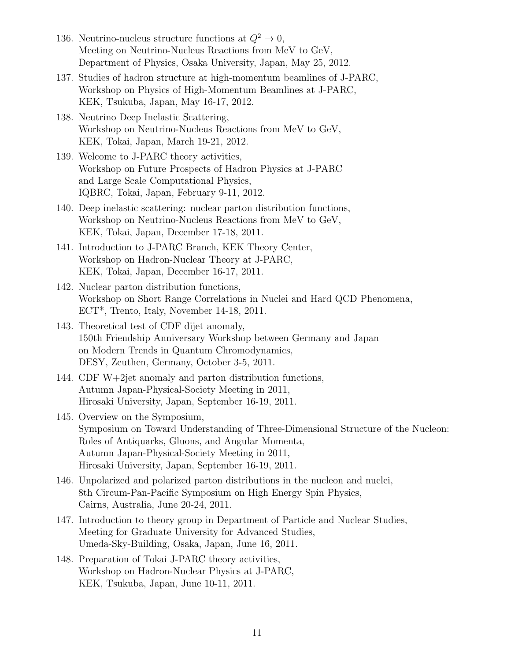- 136. Neutrino-nucleus structure functions at  $Q^2 \to 0$ , Meeting on Neutrino-Nucleus Reactions from MeV to GeV, Department of Physics, Osaka University, Japan, May 25, 2012.
- 137. Studies of hadron structure at high-momentum beamlines of J-PARC, Workshop on Physics of High-Momentum Beamlines at J-PARC, KEK, Tsukuba, Japan, May 16-17, 2012.
- 138. Neutrino Deep Inelastic Scattering, Workshop on Neutrino-Nucleus Reactions from MeV to GeV, KEK, Tokai, Japan, March 19-21, 2012.
- 139. Welcome to J-PARC theory activities, Workshop on Future Prospects of Hadron Physics at J-PARC and Large Scale Computational Physics, IQBRC, Tokai, Japan, February 9-11, 2012.
- 140. Deep inelastic scattering: nuclear parton distribution functions, Workshop on Neutrino-Nucleus Reactions from MeV to GeV, KEK, Tokai, Japan, December 17-18, 2011.
- 141. Introduction to J-PARC Branch, KEK Theory Center, Workshop on Hadron-Nuclear Theory at J-PARC, KEK, Tokai, Japan, December 16-17, 2011.
- 142. Nuclear parton distribution functions, Workshop on Short Range Correlations in Nuclei and Hard QCD Phenomena, ECT\*, Trento, Italy, November 14-18, 2011.
- 143. Theoretical test of CDF dijet anomaly, 150th Friendship Anniversary Workshop between Germany and Japan on Modern Trends in Quantum Chromodynamics, DESY, Zeuthen, Germany, October 3-5, 2011.
- 144. CDF W+2jet anomaly and parton distribution functions, Autumn Japan-Physical-Society Meeting in 2011, Hirosaki University, Japan, September 16-19, 2011.
- 145. Overview on the Symposium, Symposium on Toward Understanding of Three-Dimensional Structure of the Nucleon: Roles of Antiquarks, Gluons, and Angular Momenta, Autumn Japan-Physical-Society Meeting in 2011, Hirosaki University, Japan, September 16-19, 2011.
- 146. Unpolarized and polarized parton distributions in the nucleon and nuclei, 8th Circum-Pan-Pacific Symposium on High Energy Spin Physics, Cairns, Australia, June 20-24, 2011.
- 147. Introduction to theory group in Department of Particle and Nuclear Studies, Meeting for Graduate University for Advanced Studies, Umeda-Sky-Building, Osaka, Japan, June 16, 2011.
- 148. Preparation of Tokai J-PARC theory activities, Workshop on Hadron-Nuclear Physics at J-PARC, KEK, Tsukuba, Japan, June 10-11, 2011.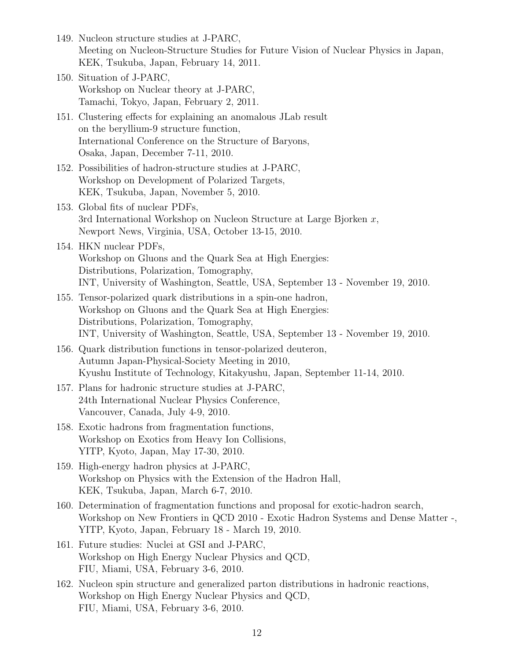- 149. Nucleon structure studies at J-PARC, Meeting on Nucleon-Structure Studies for Future Vision of Nuclear Physics in Japan, KEK, Tsukuba, Japan, February 14, 2011.
- 150. Situation of J-PARC, Workshop on Nuclear theory at J-PARC, Tamachi, Tokyo, Japan, February 2, 2011.
- 151. Clustering effects for explaining an anomalous JLab result on the beryllium-9 structure function, International Conference on the Structure of Baryons, Osaka, Japan, December 7-11, 2010.
- 152. Possibilities of hadron-structure studies at J-PARC, Workshop on Development of Polarized Targets, KEK, Tsukuba, Japan, November 5, 2010.
- 153. Global fits of nuclear PDFs, 3rd International Workshop on Nucleon Structure at Large Bjorken *x*, Newport News, Virginia, USA, October 13-15, 2010.
- 154. HKN nuclear PDFs, Workshop on Gluons and the Quark Sea at High Energies: Distributions, Polarization, Tomography, INT, University of Washington, Seattle, USA, September 13 - November 19, 2010.
- 155. Tensor-polarized quark distributions in a spin-one hadron, Workshop on Gluons and the Quark Sea at High Energies: Distributions, Polarization, Tomography, INT, University of Washington, Seattle, USA, September 13 - November 19, 2010.
- 156. Quark distribution functions in tensor-polarized deuteron, Autumn Japan-Physical-Society Meeting in 2010, Kyushu Institute of Technology, Kitakyushu, Japan, September 11-14, 2010.
- 157. Plans for hadronic structure studies at J-PARC, 24th International Nuclear Physics Conference, Vancouver, Canada, July 4-9, 2010.
- 158. Exotic hadrons from fragmentation functions, Workshop on Exotics from Heavy Ion Collisions, YITP, Kyoto, Japan, May 17-30, 2010.
- 159. High-energy hadron physics at J-PARC, Workshop on Physics with the Extension of the Hadron Hall, KEK, Tsukuba, Japan, March 6-7, 2010.
- 160. Determination of fragmentation functions and proposal for exotic-hadron search, Workshop on New Frontiers in QCD 2010 - Exotic Hadron Systems and Dense Matter -, YITP, Kyoto, Japan, February 18 - March 19, 2010.
- 161. Future studies: Nuclei at GSI and J-PARC, Workshop on High Energy Nuclear Physics and QCD, FIU, Miami, USA, February 3-6, 2010.
- 162. Nucleon spin structure and generalized parton distributions in hadronic reactions, Workshop on High Energy Nuclear Physics and QCD, FIU, Miami, USA, February 3-6, 2010.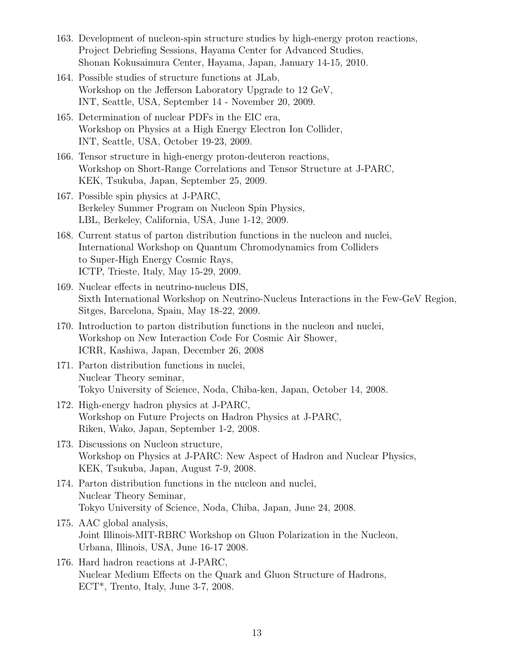- 163. Development of nucleon-spin structure studies by high-energy proton reactions, Project Debriefing Sessions, Hayama Center for Advanced Studies, Shonan Kokusaimura Center, Hayama, Japan, January 14-15, 2010.
- 164. Possible studies of structure functions at JLab, Workshop on the Jefferson Laboratory Upgrade to 12 GeV, INT, Seattle, USA, September 14 - November 20, 2009.
- 165. Determination of nuclear PDFs in the EIC era, Workshop on Physics at a High Energy Electron Ion Collider, INT, Seattle, USA, October 19-23, 2009.
- 166. Tensor structure in high-energy proton-deuteron reactions, Workshop on Short-Range Correlations and Tensor Structure at J-PARC, KEK, Tsukuba, Japan, September 25, 2009.
- 167. Possible spin physics at J-PARC, Berkeley Summer Program on Nucleon Spin Physics, LBL, Berkeley, California, USA, June 1-12, 2009.
- 168. Current status of parton distribution functions in the nucleon and nuclei, International Workshop on Quantum Chromodynamics from Colliders to Super-High Energy Cosmic Rays, ICTP, Trieste, Italy, May 15-29, 2009.
- 169. Nuclear effects in neutrino-nucleus DIS, Sixth International Workshop on Neutrino-Nucleus Interactions in the Few-GeV Region, Sitges, Barcelona, Spain, May 18-22, 2009.
- 170. Introduction to parton distribution functions in the nucleon and nuclei, Workshop on New Interaction Code For Cosmic Air Shower, ICRR, Kashiwa, Japan, December 26, 2008
- 171. Parton distribution functions in nuclei, Nuclear Theory seminar, Tokyo University of Science, Noda, Chiba-ken, Japan, October 14, 2008.
- 172. High-energy hadron physics at J-PARC, Workshop on Future Projects on Hadron Physics at J-PARC, Riken, Wako, Japan, September 1-2, 2008.
- 173. Discussions on Nucleon structure, Workshop on Physics at J-PARC: New Aspect of Hadron and Nuclear Physics, KEK, Tsukuba, Japan, August 7-9, 2008.
- 174. Parton distribution functions in the nucleon and nuclei, Nuclear Theory Seminar, Tokyo University of Science, Noda, Chiba, Japan, June 24, 2008.
- 175. AAC global analysis, Joint Illinois-MIT-RBRC Workshop on Gluon Polarization in the Nucleon, Urbana, Illinois, USA, June 16-17 2008.
- 176. Hard hadron reactions at J-PARC, Nuclear Medium Effects on the Quark and Gluon Structure of Hadrons, ECT<sup>\*</sup>, Trento, Italy, June 3-7, 2008.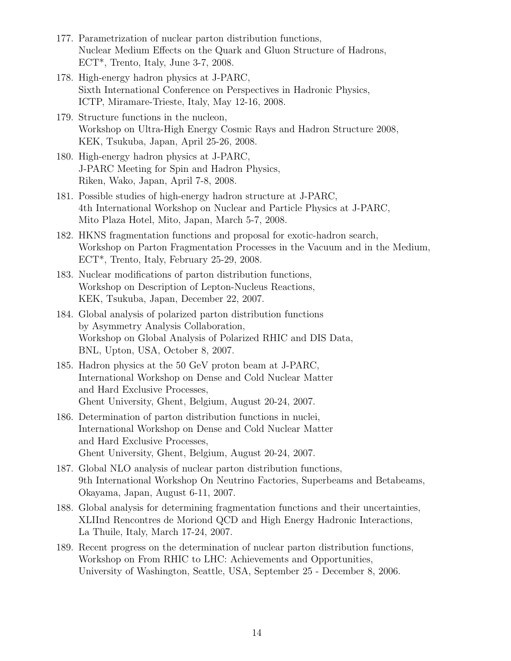- 177. Parametrization of nuclear parton distribution functions, Nuclear Medium Effects on the Quark and Gluon Structure of Hadrons, ECT\*, Trento, Italy, June 3-7, 2008.
- 178. High-energy hadron physics at J-PARC, Sixth International Conference on Perspectives in Hadronic Physics, ICTP, Miramare-Trieste, Italy, May 12-16, 2008.
- 179. Structure functions in the nucleon, Workshop on Ultra-High Energy Cosmic Rays and Hadron Structure 2008, KEK, Tsukuba, Japan, April 25-26, 2008.
- 180. High-energy hadron physics at J-PARC, J-PARC Meeting for Spin and Hadron Physics, Riken, Wako, Japan, April 7-8, 2008.
- 181. Possible studies of high-energy hadron structure at J-PARC, 4th International Workshop on Nuclear and Particle Physics at J-PARC, Mito Plaza Hotel, Mito, Japan, March 5-7, 2008.
- 182. HKNS fragmentation functions and proposal for exotic-hadron search, Workshop on Parton Fragmentation Processes in the Vacuum and in the Medium, ECT\*, Trento, Italy, February 25-29, 2008.
- 183. Nuclear modifications of parton distribution functions, Workshop on Description of Lepton-Nucleus Reactions, KEK, Tsukuba, Japan, December 22, 2007.
- 184. Global analysis of polarized parton distribution functions by Asymmetry Analysis Collaboration, Workshop on Global Analysis of Polarized RHIC and DIS Data, BNL, Upton, USA, October 8, 2007.
- 185. Hadron physics at the 50 GeV proton beam at J-PARC, International Workshop on Dense and Cold Nuclear Matter and Hard Exclusive Processes, Ghent University, Ghent, Belgium, August 20-24, 2007.
- 186. Determination of parton distribution functions in nuclei, International Workshop on Dense and Cold Nuclear Matter and Hard Exclusive Processes, Ghent University, Ghent, Belgium, August 20-24, 2007.
- 187. Global NLO analysis of nuclear parton distribution functions, 9th International Workshop On Neutrino Factories, Superbeams and Betabeams, Okayama, Japan, August 6-11, 2007.
- 188. Global analysis for determining fragmentation functions and their uncertainties, XLIInd Rencontres de Moriond QCD and High Energy Hadronic Interactions, La Thuile, Italy, March 17-24, 2007.
- 189. Recent progress on the determination of nuclear parton distribution functions, Workshop on From RHIC to LHC: Achievements and Opportunities, University of Washington, Seattle, USA, September 25 - December 8, 2006.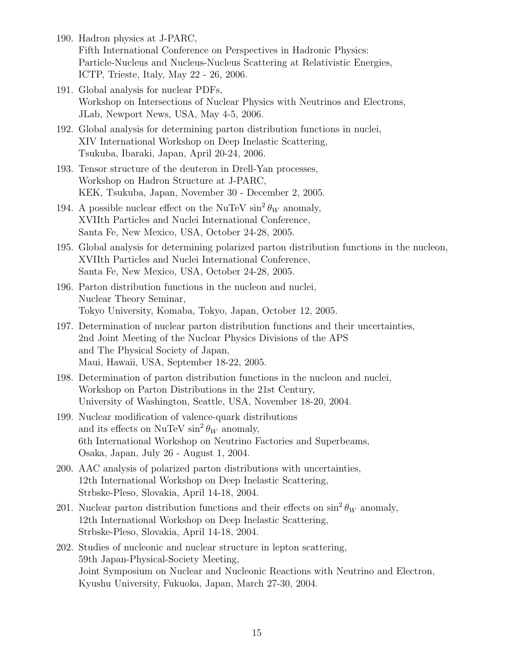- 190. Hadron physics at J-PARC, Fifth International Conference on Perspectives in Hadronic Physics: Particle-Nucleus and Nucleus-Nucleus Scattering at Relativistic Energies, ICTP, Trieste, Italy, May 22 - 26, 2006.
- 191. Global analysis for nuclear PDFs, Workshop on Intersections of Nuclear Physics with Neutrinos and Electrons, JLab, Newport News, USA, May 4-5, 2006.
- 192. Global analysis for determining parton distribution functions in nuclei, XIV International Workshop on Deep Inelastic Scattering, Tsukuba, Ibaraki, Japan, April 20-24, 2006.
- 193. Tensor structure of the deuteron in Drell-Yan processes, Workshop on Hadron Structure at J-PARC, KEK, Tsukuba, Japan, November 30 - December 2, 2005.
- 194. A possible nuclear effect on the NuTeV  $\sin^2 \theta_W$  anomaly, XVIIth Particles and Nuclei International Conference, Santa Fe, New Mexico, USA, October 24-28, 2005.
- 195. Global analysis for determining polarized parton distribution functions in the nucleon, XVIIth Particles and Nuclei International Conference, Santa Fe, New Mexico, USA, October 24-28, 2005.
- 196. Parton distribution functions in the nucleon and nuclei, Nuclear Theory Seminar, Tokyo University, Komaba, Tokyo, Japan, October 12, 2005.
- 197. Determination of nuclear parton distribution functions and their uncertainties, 2nd Joint Meeting of the Nuclear Physics Divisions of the APS and The Physical Society of Japan, Maui, Hawaii, USA, September 18-22, 2005.
- 198. Determination of parton distribution functions in the nucleon and nuclei, Workshop on Parton Distributions in the 21st Century, University of Washington, Seattle, USA, November 18-20, 2004.
- 199. Nuclear modification of valence-quark distributions and its effects on NuTeV  $\sin^2 \theta_W$  anomaly, 6th International Workshop on Neutrino Factories and Superbeams, Osaka, Japan, July 26 - August 1, 2004.
- 200. AAC analysis of polarized parton distributions with uncertainties, 12th International Workshop on Deep Inelastic Scattering, Strbske-Pleso, Slovakia, April 14-18, 2004.
- 201. Nuclear parton distribution functions and their effects on  $\sin^2 \theta_W$  anomaly, 12th International Workshop on Deep Inelastic Scattering, Strbske-Pleso, Slovakia, April 14-18, 2004.
- 202. Studies of nucleonic and nuclear structure in lepton scattering, 59th Japan-Physical-Society Meeting, Joint Symposium on Nuclear and Nucleonic Reactions with Neutrino and Electron, Kyushu University, Fukuoka, Japan, March 27-30, 2004.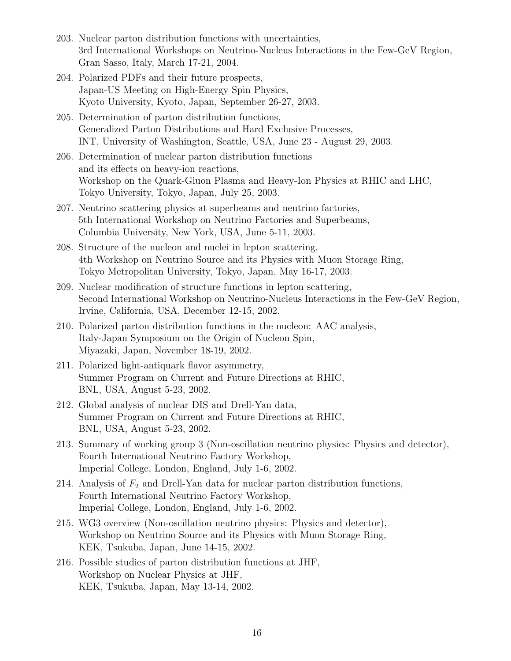- 203. Nuclear parton distribution functions with uncertainties, 3rd International Workshops on Neutrino-Nucleus Interactions in the Few-GeV Region, Gran Sasso, Italy, March 17-21, 2004.
- 204. Polarized PDFs and their future prospects, Japan-US Meeting on High-Energy Spin Physics, Kyoto University, Kyoto, Japan, September 26-27, 2003.
- 205. Determination of parton distribution functions, Generalized Parton Distributions and Hard Exclusive Processes, INT, University of Washington, Seattle, USA, June 23 - August 29, 2003.
- 206. Determination of nuclear parton distribution functions and its effects on heavy-ion reactions, Workshop on the Quark-Gluon Plasma and Heavy-Ion Physics at RHIC and LHC, Tokyo University, Tokyo, Japan, July 25, 2003.
- 207. Neutrino scattering physics at superbeams and neutrino factories, 5th International Workshop on Neutrino Factories and Superbeams, Columbia University, New York, USA, June 5-11, 2003.
- 208. Structure of the nucleon and nuclei in lepton scattering, 4th Workshop on Neutrino Source and its Physics with Muon Storage Ring, Tokyo Metropolitan University, Tokyo, Japan, May 16-17, 2003.
- 209. Nuclear modification of structure functions in lepton scattering, Second International Workshop on Neutrino-Nucleus Interactions in the Few-GeV Region, Irvine, California, USA, December 12-15, 2002.
- 210. Polarized parton distribution functions in the nucleon: AAC analysis, Italy-Japan Symposium on the Origin of Nucleon Spin, Miyazaki, Japan, November 18-19, 2002.
- 211. Polarized light-antiquark flavor asymmetry, Summer Program on Current and Future Directions at RHIC, BNL, USA, August 5-23, 2002.
- 212. Global analysis of nuclear DIS and Drell-Yan data, Summer Program on Current and Future Directions at RHIC, BNL, USA, August 5-23, 2002.
- 213. Summary of working group 3 (Non-oscillation neutrino physics: Physics and detector), Fourth International Neutrino Factory Workshop, Imperial College, London, England, July 1-6, 2002.
- 214. Analysis of  $F_2$  and Drell-Yan data for nuclear parton distribution functions, Fourth International Neutrino Factory Workshop, Imperial College, London, England, July 1-6, 2002.
- 215. WG3 overview (Non-oscillation neutrino physics: Physics and detector), Workshop on Neutrino Source and its Physics with Muon Storage Ring, KEK, Tsukuba, Japan, June 14-15, 2002.
- 216. Possible studies of parton distribution functions at JHF, Workshop on Nuclear Physics at JHF, KEK, Tsukuba, Japan, May 13-14, 2002.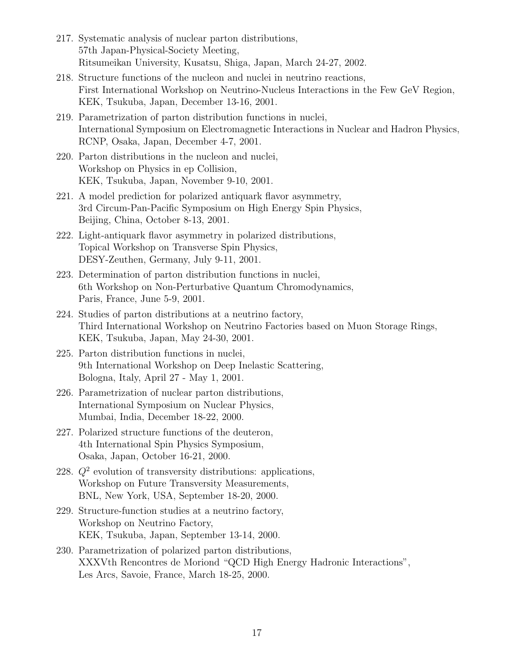- 217. Systematic analysis of nuclear parton distributions, 57th Japan-Physical-Society Meeting, Ritsumeikan University, Kusatsu, Shiga, Japan, March 24-27, 2002.
- 218. Structure functions of the nucleon and nuclei in neutrino reactions, First International Workshop on Neutrino-Nucleus Interactions in the Few GeV Region, KEK, Tsukuba, Japan, December 13-16, 2001.
- 219. Parametrization of parton distribution functions in nuclei, International Symposium on Electromagnetic Interactions in Nuclear and Hadron Physics, RCNP, Osaka, Japan, December 4-7, 2001.
- 220. Parton distributions in the nucleon and nuclei, Workshop on Physics in ep Collision, KEK, Tsukuba, Japan, November 9-10, 2001.
- 221. A model prediction for polarized antiquark flavor asymmetry, 3rd Circum-Pan-Pacific Symposium on High Energy Spin Physics, Beijing, China, October 8-13, 2001.
- 222. Light-antiquark flavor asymmetry in polarized distributions, Topical Workshop on Transverse Spin Physics, DESY-Zeuthen, Germany, July 9-11, 2001.
- 223. Determination of parton distribution functions in nuclei, 6th Workshop on Non-Perturbative Quantum Chromodynamics, Paris, France, June 5-9, 2001.
- 224. Studies of parton distributions at a neutrino factory, Third International Workshop on Neutrino Factories based on Muon Storage Rings, KEK, Tsukuba, Japan, May 24-30, 2001.
- 225. Parton distribution functions in nuclei, 9th International Workshop on Deep Inelastic Scattering, Bologna, Italy, April 27 - May 1, 2001.
- 226. Parametrization of nuclear parton distributions, International Symposium on Nuclear Physics, Mumbai, India, December 18-22, 2000.
- 227. Polarized structure functions of the deuteron, 4th International Spin Physics Symposium, Osaka, Japan, October 16-21, 2000.
- 228. *Q*<sup>2</sup> evolution of transversity distributions: applications, Workshop on Future Transversity Measurements, BNL, New York, USA, September 18-20, 2000.
- 229. Structure-function studies at a neutrino factory, Workshop on Neutrino Factory, KEK, Tsukuba, Japan, September 13-14, 2000.
- 230. Parametrization of polarized parton distributions, XXXVth Rencontres de Moriond "QCD High Energy Hadronic Interactions", Les Arcs, Savoie, France, March 18-25, 2000.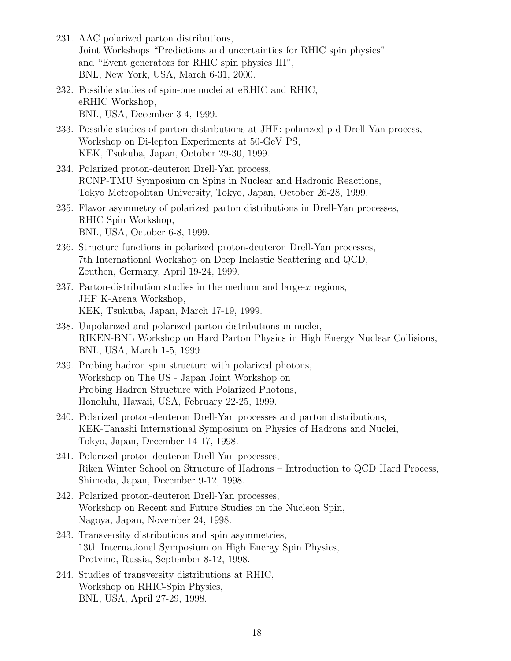- 231. AAC polarized parton distributions, Joint Workshops "Predictions and uncertainties for RHIC spin physics" and "Event generators for RHIC spin physics III", BNL, New York, USA, March 6-31, 2000.
- 232. Possible studies of spin-one nuclei at eRHIC and RHIC, eRHIC Workshop, BNL, USA, December 3-4, 1999.
- 233. Possible studies of parton distributions at JHF: polarized p-d Drell-Yan process, Workshop on Di-lepton Experiments at 50-GeV PS, KEK, Tsukuba, Japan, October 29-30, 1999.
- 234. Polarized proton-deuteron Drell-Yan process, RCNP-TMU Symposium on Spins in Nuclear and Hadronic Reactions, Tokyo Metropolitan University, Tokyo, Japan, October 26-28, 1999.
- 235. Flavor asymmetry of polarized parton distributions in Drell-Yan processes, RHIC Spin Workshop, BNL, USA, October 6-8, 1999.
- 236. Structure functions in polarized proton-deuteron Drell-Yan processes, 7th International Workshop on Deep Inelastic Scattering and QCD, Zeuthen, Germany, April 19-24, 1999.
- 237. Parton-distribution studies in the medium and large-*x* regions, JHF K-Arena Workshop, KEK, Tsukuba, Japan, March 17-19, 1999.
- 238. Unpolarized and polarized parton distributions in nuclei, RIKEN-BNL Workshop on Hard Parton Physics in High Energy Nuclear Collisions, BNL, USA, March 1-5, 1999.
- 239. Probing hadron spin structure with polarized photons, Workshop on The US - Japan Joint Workshop on Probing Hadron Structure with Polarized Photons, Honolulu, Hawaii, USA, February 22-25, 1999.
- 240. Polarized proton-deuteron Drell-Yan processes and parton distributions, KEK-Tanashi International Symposium on Physics of Hadrons and Nuclei, Tokyo, Japan, December 14-17, 1998.
- 241. Polarized proton-deuteron Drell-Yan processes, Riken Winter School on Structure of Hadrons – Introduction to QCD Hard Process, Shimoda, Japan, December 9-12, 1998.
- 242. Polarized proton-deuteron Drell-Yan processes, Workshop on Recent and Future Studies on the Nucleon Spin, Nagoya, Japan, November 24, 1998.
- 243. Transversity distributions and spin asymmetries, 13th International Symposium on High Energy Spin Physics, Protvino, Russia, September 8-12, 1998.
- 244. Studies of transversity distributions at RHIC, Workshop on RHIC-Spin Physics, BNL, USA, April 27-29, 1998.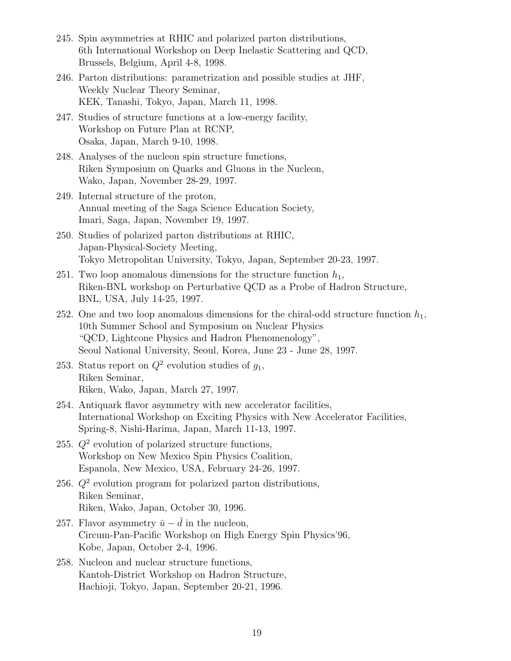- 245. Spin asymmetries at RHIC and polarized parton distributions, 6th International Workshop on Deep Inelastic Scattering and QCD, Brussels, Belgium, April 4-8, 1998.
- 246. Parton distributions: parametrization and possible studies at JHF, Weekly Nuclear Theory Seminar, KEK, Tanashi, Tokyo, Japan, March 11, 1998.
- 247. Studies of structure functions at a low-energy facility, Workshop on Future Plan at RCNP, Osaka, Japan, March 9-10, 1998.
- 248. Analyses of the nucleon spin structure functions, Riken Symposium on Quarks and Gluons in the Nucleon, Wako, Japan, November 28-29, 1997.
- 249. Internal structure of the proton, Annual meeting of the Saga Science Education Society, Imari, Saga, Japan, November 19, 1997.
- 250. Studies of polarized parton distributions at RHIC, Japan-Physical-Society Meeting, Tokyo Metropolitan University, Tokyo, Japan, September 20-23, 1997.
- 251. Two loop anomalous dimensions for the structure function  $h_1$ , Riken-BNL workshop on Perturbative QCD as a Probe of Hadron Structure, BNL, USA, July 14-25, 1997.
- 252. One and two loop anomalous dimensions for the chiral-odd structure function  $h_1$ , 10th Summer School and Symposium on Nuclear Physics "QCD, Lightcone Physics and Hadron Phenomenology", Seoul National University, Seoul, Korea, June 23 - June 28, 1997.
- 253. Status report on  $Q^2$  evolution studies of  $g_1$ , Riken Seminar, Riken, Wako, Japan, March 27, 1997.
- 254. Antiquark flavor asymmetry with new accelerator facilities, International Workshop on Exciting Physics with New Accelerator Facilities, Spring-8, Nishi-Harima, Japan, March 11-13, 1997.
- 255.  $Q^2$  evolution of polarized structure functions, Workshop on New Mexico Spin Physics Coalition, Espanola, New Mexico, USA, February 24-26, 1997.
- 256.  $Q^2$  evolution program for polarized parton distributions, Riken Seminar, Riken, Wako, Japan, October 30, 1996.
- 257. Flavor asymmetry  $\bar{u} \bar{d}$  in the nucleon, Circum-Pan-Pacific Workshop on High Energy Spin Physics'96, Kobe, Japan, October 2-4, 1996.
- 258. Nucleon and nuclear structure functions, Kantoh-District Workshop on Hadron Structure, Hachioji, Tokyo, Japan, September 20-21, 1996.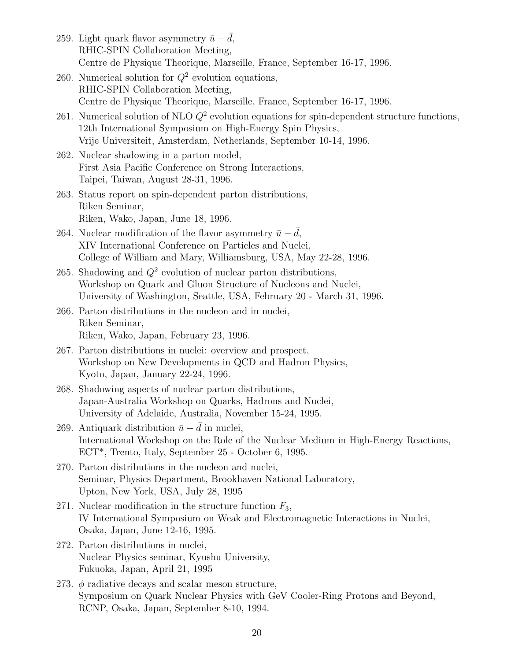- 259. Light quark flavor asymmetry  $\bar{u} d$ , RHIC-SPIN Collaboration Meeting, Centre de Physique Theorique, Marseille, France, September 16-17, 1996. 260. Numerical solution for  $Q^2$  evolution equations, RHIC-SPIN Collaboration Meeting, Centre de Physique Theorique, Marseille, France, September 16-17, 1996. 261. Numerical solution of NLO *Q*<sup>2</sup> evolution equations for spin-dependent structure functions, 12th International Symposium on High-Energy Spin Physics, Vrije Universiteit, Amsterdam, Netherlands, September 10-14, 1996. 262. Nuclear shadowing in a parton model, First Asia Pacific Conference on Strong Interactions, Taipei, Taiwan, August 28-31, 1996. 263. Status report on spin-dependent parton distributions, Riken Seminar, Riken, Wako, Japan, June 18, 1996. 264. Nuclear modification of the flavor asymmetry  $\bar{u} - \bar{d}$ , XIV International Conference on Particles and Nuclei, College of William and Mary, Williamsburg, USA, May 22-28, 1996. 265. Shadowing and *Q*<sup>2</sup> evolution of nuclear parton distributions, Workshop on Quark and Gluon Structure of Nucleons and Nuclei, University of Washington, Seattle, USA, February 20 - March 31, 1996. 266. Parton distributions in the nucleon and in nuclei, Riken Seminar, Riken, Wako, Japan, February 23, 1996. 267. Parton distributions in nuclei: overview and prospect, Workshop on New Developments in QCD and Hadron Physics, Kyoto, Japan, January 22-24, 1996. 268. Shadowing aspects of nuclear parton distributions, Japan-Australia Workshop on Quarks, Hadrons and Nuclei, University of Adelaide, Australia, November 15-24, 1995. 269. Antiquark distribution  $\bar{u} - \bar{d}$  in nuclei,
	- International Workshop on the Role of the Nuclear Medium in High-Energy Reactions, ECT\*, Trento, Italy, September 25 - October 6, 1995.
	- 270. Parton distributions in the nucleon and nuclei, Seminar, Physics Department, Brookhaven National Laboratory, Upton, New York, USA, July 28, 1995
	- 271. Nuclear modification in the structure function *F*3, IV International Symposium on Weak and Electromagnetic Interactions in Nuclei, Osaka, Japan, June 12-16, 1995.
- 272. Parton distributions in nuclei, Nuclear Physics seminar, Kyushu University, Fukuoka, Japan, April 21, 1995
- 273. *ϕ* radiative decays and scalar meson structure, Symposium on Quark Nuclear Physics with GeV Cooler-Ring Protons and Beyond, RCNP, Osaka, Japan, September 8-10, 1994.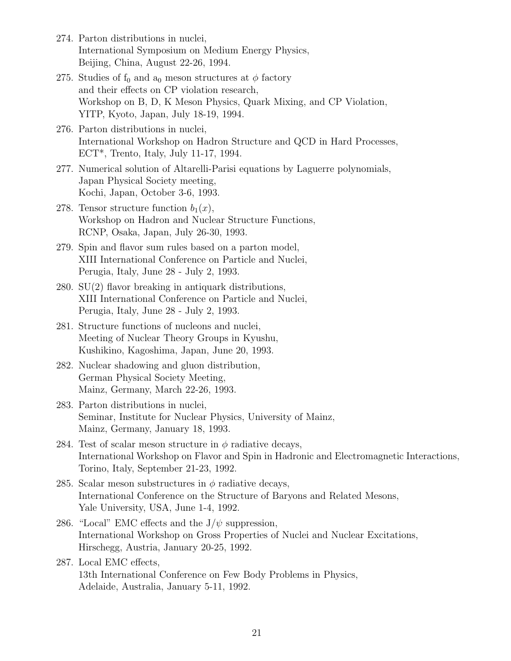- 274. Parton distributions in nuclei, International Symposium on Medium Energy Physics, Beijing, China, August 22-26, 1994.
- 275. Studies of  $f_0$  and  $a_0$  meson structures at  $\phi$  factory and their effects on CP violation research, Workshop on B, D, K Meson Physics, Quark Mixing, and CP Violation, YITP, Kyoto, Japan, July 18-19, 1994.
- 276. Parton distributions in nuclei, International Workshop on Hadron Structure and QCD in Hard Processes, ECT\*, Trento, Italy, July 11-17, 1994.
- 277. Numerical solution of Altarelli-Parisi equations by Laguerre polynomials, Japan Physical Society meeting, Kochi, Japan, October 3-6, 1993.
- 278. Tensor structure function  $b_1(x)$ , Workshop on Hadron and Nuclear Structure Functions, RCNP, Osaka, Japan, July 26-30, 1993.
- 279. Spin and flavor sum rules based on a parton model, XIII International Conference on Particle and Nuclei, Perugia, Italy, June 28 - July 2, 1993.
- 280. SU(2) flavor breaking in antiquark distributions, XIII International Conference on Particle and Nuclei, Perugia, Italy, June 28 - July 2, 1993.
- 281. Structure functions of nucleons and nuclei, Meeting of Nuclear Theory Groups in Kyushu, Kushikino, Kagoshima, Japan, June 20, 1993.
- 282. Nuclear shadowing and gluon distribution, German Physical Society Meeting, Mainz, Germany, March 22-26, 1993.
- 283. Parton distributions in nuclei, Seminar, Institute for Nuclear Physics, University of Mainz, Mainz, Germany, January 18, 1993.
- 284. Test of scalar meson structure in  $\phi$  radiative decays, International Workshop on Flavor and Spin in Hadronic and Electromagnetic Interactions, Torino, Italy, September 21-23, 1992.
- 285. Scalar meson substructures in *ϕ* radiative decays, International Conference on the Structure of Baryons and Related Mesons, Yale University, USA, June 1-4, 1992.
- 286. "Local" EMC effects and the  $J/\psi$  suppression, International Workshop on Gross Properties of Nuclei and Nuclear Excitations, Hirschegg, Austria, January 20-25, 1992.
- 287. Local EMC effects, 13th International Conference on Few Body Problems in Physics, Adelaide, Australia, January 5-11, 1992.